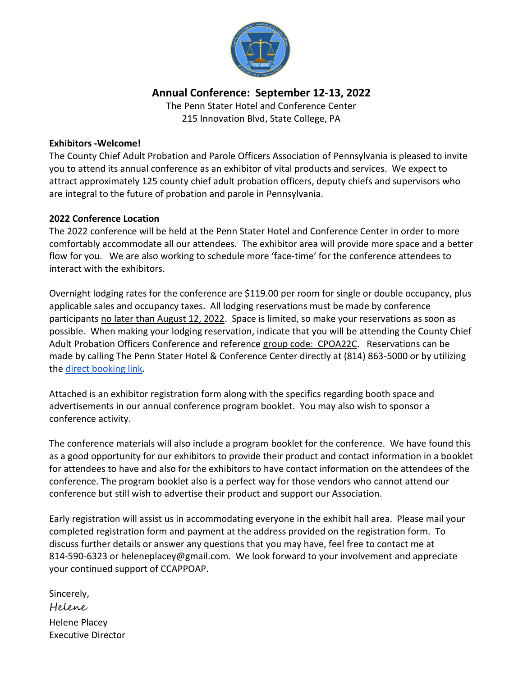

# **Annual Conference: September 12-13, 2022**

The Penn Stater Hotel and Conference Center 215 Innovation Blvd, State College, PA

### **Exhibitors -Welcome!**

The County Chief Adult Probation and Parole Officers Association of Pennsylvania is pleased to invite you to attend its annual conference as an exhibitor of vital products and services. We expect to attract approximately 125 county chief adult probation officers, deputy chiefs and supervisors who are integral to the future of probation and parole in Pennsylvania.

# **2022 Conference Location**

The 2022 conference will be held at the Penn Stater Hotel and Conference Center in order to more comfortably accommodate all our attendees. The exhibitor area will provide more space and a better flow for you. We are also working to schedule more 'face-time' for the conference attendees to interact with the exhibitors.

Overnight lodging rates for the conference are \$119.00 per room for single or double occupancy, plus applicable sales and occupancy taxes. All lodging reservations must be made by conference participants no later than August 12, 2022. Space is limited, so make your reservations as soon as possible. When making your lodging reservation, indicate that you will be attending the County Chief Adult Probation Officers Conference and reference group code: CPOA22C. Reservations can be made by calling The Penn Stater Hotel & Conference Center directly at (814) 863-5000 or by utilizing th[e direct booking link.](https://nam10.safelinks.protection.outlook.com/?url=https%3A%2F%2Fbe.synxis.com%2F%3FHotel%3D475%26Chain%3D12211%26config%3DSCEPS%26theme%3DSCEPS%26arrive%3D2022-09-11%26depart%3D2022-09-14%26adult%3D1%26child%3D0%26group%3DCPOA22C&data=04%7C01%7Cpks5%40psu.edu%7C48445354851145ffab0a08da1d85db0d%7C7cf48d453ddb4389a9c1c115526eb52e%7C0%7C0%7C637854757979781361%7CUnknown%7CTWFpbGZsb3d8eyJWIjoiMC4wLjAwMDAiLCJQIjoiV2luMzIiLCJBTiI6Ik1haWwiLCJXVCI6Mn0%3D%7C3000&sdata=3o61aU%2Fjhnc8dBCnb26mGB6ZOD90%2FOBUYFHHwZM6dc4%3D&reserved=0)

Attached is an exhibitor registration form along with the specifics regarding booth space and advertisements in our annual conference program booklet. You may also wish to sponsor a conference activity.

The conference materials will also include a program booklet for the conference. We have found this as a good opportunity for our exhibitors to provide their product and contact information in a booklet for attendees to have and also for the exhibitors to have contact information on the attendees of the conference. The program booklet also is a perfect way for those vendors who cannot attend our conference but still wish to advertise their product and support our Association.

Early registration will assist us in accommodating everyone in the exhibit hall area. Please mail your completed registration form and payment at the address provided on the registration form. To discuss further details or answer any questions that you may have, feel free to contact me at 814-590-6323 or heleneplacey@gmail.com. We look forward to your involvement and appreciate your continued support of CCAPPOAP.

| Sincerely,                |
|---------------------------|
| Helene                    |
| <b>Helene Placey</b>      |
| <b>Executive Director</b> |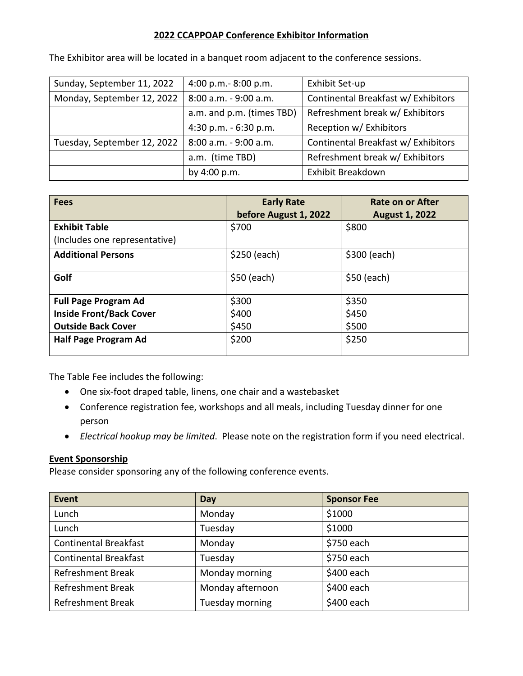# **2022 CCAPPOAP Conference Exhibitor Information**

| Sunday, September 11, 2022  | 4:00 p.m.- 8:00 p.m.      | Exhibit Set-up                      |
|-----------------------------|---------------------------|-------------------------------------|
| Monday, September 12, 2022  | 8:00 a.m. - 9:00 a.m.     | Continental Breakfast w/ Exhibitors |
|                             | a.m. and p.m. (times TBD) | Refreshment break w/ Exhibitors     |
|                             | 4:30 p.m. $-6:30$ p.m.    | Reception w/ Exhibitors             |
| Tuesday, September 12, 2022 | 8:00 a.m. - 9:00 a.m.     | Continental Breakfast w/ Exhibitors |
|                             | a.m. (time TBD)           | Refreshment break w/ Exhibitors     |
|                             | by 4:00 p.m.              | Exhibit Breakdown                   |

The Exhibitor area will be located in a banquet room adjacent to the conference sessions.

| <b>Fees</b>                    | <b>Early Rate</b><br>before August 1, 2022 | Rate on or After<br><b>August 1, 2022</b> |
|--------------------------------|--------------------------------------------|-------------------------------------------|
| <b>Exhibit Table</b>           | \$700                                      | \$800                                     |
| (Includes one representative)  |                                            |                                           |
| <b>Additional Persons</b>      | \$250 (each)                               | \$300 (each)                              |
| Golf                           | $$50$ (each)                               | $$50$ (each)                              |
| <b>Full Page Program Ad</b>    | \$300                                      | \$350                                     |
| <b>Inside Front/Back Cover</b> | \$400                                      | \$450                                     |
| <b>Outside Back Cover</b>      | \$450                                      | \$500                                     |
| Half Page Program Ad           | \$200                                      | \$250                                     |

The Table Fee includes the following:

- One six-foot draped table, linens, one chair and a wastebasket
- Conference registration fee, workshops and all meals, including Tuesday dinner for one person
- *Electrical hookup may be limited*. Please note on the registration form if you need electrical.

### **Event Sponsorship**

Please consider sponsoring any of the following conference events.

| <b>Event</b>                 | Day              | <b>Sponsor Fee</b> |
|------------------------------|------------------|--------------------|
| Lunch                        | Monday           | \$1000             |
| Lunch                        | Tuesday          | \$1000             |
| <b>Continental Breakfast</b> | Monday           | \$750 each         |
| <b>Continental Breakfast</b> | Tuesday          | \$750 each         |
| <b>Refreshment Break</b>     | Monday morning   | \$400 each         |
| <b>Refreshment Break</b>     | Monday afternoon | \$400 each         |
| <b>Refreshment Break</b>     | Tuesday morning  | \$400 each         |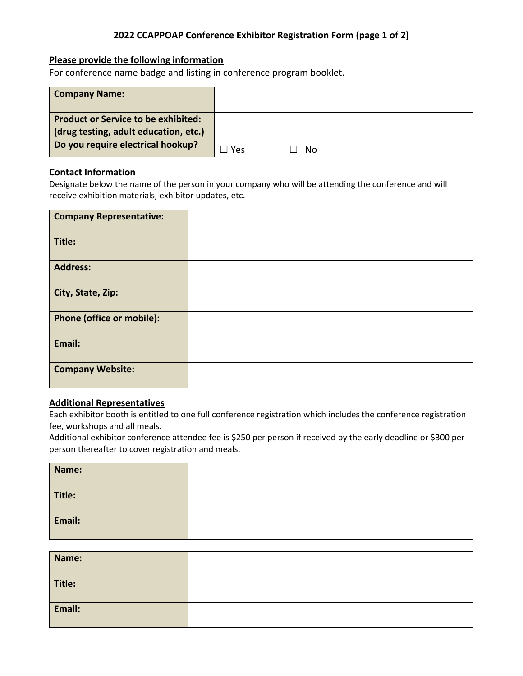### **2022 CCAPPOAP Conference Exhibitor Registration Form (page 1 of 2)**

#### **Please provide the following information**

For conference name badge and listing in conference program booklet.

| <b>Company Name:</b>                                                                |     |    |  |
|-------------------------------------------------------------------------------------|-----|----|--|
| <b>Product or Service to be exhibited:</b><br>(drug testing, adult education, etc.) |     |    |  |
|                                                                                     |     |    |  |
| Do you require electrical hookup?                                                   | Yes | No |  |

#### **Contact Information**

Designate below the name of the person in your company who will be attending the conference and will receive exhibition materials, exhibitor updates, etc.

| <b>Company Representative:</b> |  |
|--------------------------------|--|
| Title:                         |  |
| <b>Address:</b>                |  |
| City, State, Zip:              |  |
| Phone (office or mobile):      |  |
| Email:                         |  |
| <b>Company Website:</b>        |  |

#### **Additional Representatives**

Each exhibitor booth is entitled to one full conference registration which includes the conference registration fee, workshops and all meals.

Additional exhibitor conference attendee fee is \$250 per person if received by the early deadline or \$300 per person thereafter to cover registration and meals.

| Name:  |  |
|--------|--|
| Title: |  |
| Email: |  |

| Name:  |  |
|--------|--|
| Title: |  |
| Email: |  |